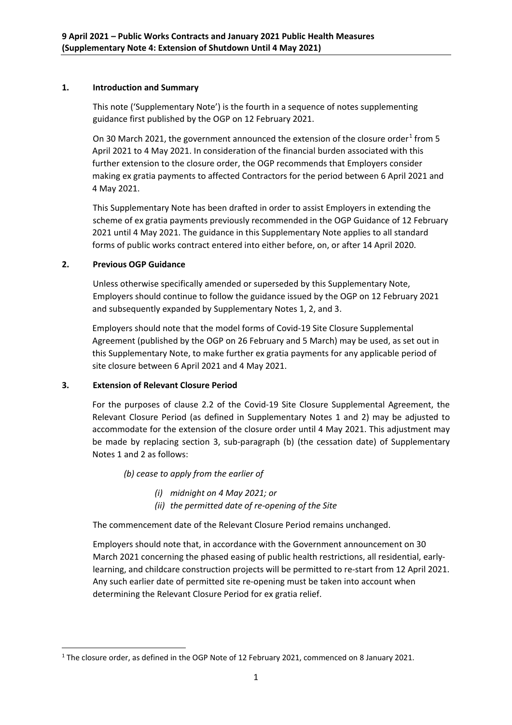## **1. Introduction and Summary**

This note ('Supplementary Note') is the fourth in a sequence of notes supplementing guidance first published by the OGP on 12 February 2021.

On 30 March 202[1](#page-0-0), the government announced the extension of the closure order<sup>1</sup> from 5 April 2021 to 4 May 2021. In consideration of the financial burden associated with this further extension to the closure order, the OGP recommends that Employers consider making ex gratia payments to affected Contractors for the period between 6 April 2021 and 4 May 2021.

This Supplementary Note has been drafted in order to assist Employers in extending the scheme of ex gratia payments previously recommended in the OGP Guidance of 12 February 2021 until 4 May 2021. The guidance in this Supplementary Note applies to all standard forms of public works contract entered into either before, on, or after 14 April 2020.

## **2. Previous OGP Guidance**

Unless otherwise specifically amended or superseded by this Supplementary Note, Employers should continue to follow the guidance issued by the OGP on 12 February 2021 and subsequently expanded by Supplementary Notes 1, 2, and 3.

Employers should note that the model forms of Covid-19 Site Closure Supplemental Agreement (published by the OGP on 26 February and 5 March) may be used, as set out in this Supplementary Note, to make further ex gratia payments for any applicable period of site closure between 6 April 2021 and 4 May 2021.

## **3. Extension of Relevant Closure Period**

For the purposes of clause 2.2 of the Covid-19 Site Closure Supplemental Agreement, the Relevant Closure Period (as defined in Supplementary Notes 1 and 2) may be adjusted to accommodate for the extension of the closure order until 4 May 2021. This adjustment may be made by replacing section 3, sub-paragraph (b) (the cessation date) of Supplementary Notes 1 and 2 as follows:

*(b) cease to apply from the earlier of* 

- *(i) midnight on 4 May 2021; or*
- *(ii) the permitted date of re-opening of the Site*

The commencement date of the Relevant Closure Period remains unchanged.

Employers should note that, in accordance with the Government announcement on 30 March 2021 concerning the phased easing of public health restrictions, all residential, earlylearning, and childcare construction projects will be permitted to re-start from 12 April 2021. Any such earlier date of permitted site re-opening must be taken into account when determining the Relevant Closure Period for ex gratia relief.

<span id="page-0-0"></span><sup>&</sup>lt;sup>1</sup> The closure order, as defined in the OGP Note of 12 February 2021, commenced on 8 January 2021.